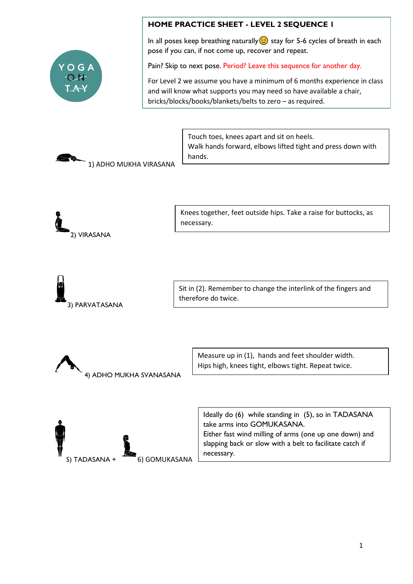

## **HOME PRACTICE SHEET - LEVEL 2 SEQUENCE 1**

In all poses keep breathing naturally  $\odot$  stay for 5-6 cycles of breath in each pose if you can, if not come up, recover and repeat.

Pain? Skip to next pose. Period? Leave this sequence for another day.

For Level 2 we assume you have a minimum of 6 months experience in class and will know what supports you may need so have available a chair, bricks/blocks/books/blankets/belts to zero – as required.



Touch toes, knees apart and sit on heels. Walk hands forward, elbows lifted tight and press down with hands.



Knees together, feet outside hips. Take a raise for buttocks, as necessary.



Sit in (2). Remember to change the interlink of the fingers and therefore do twice.



Measure up in (1), hands and feet shoulder width. Hips high, knees tight, elbows tight. Repeat twice.



Ideally do (6) while standing in (5), so in TADASANA take arms into GOMUKASANA. Either fast wind milling of arms (one up one down) and slapping back or slow with a belt to facilitate catch if necessary.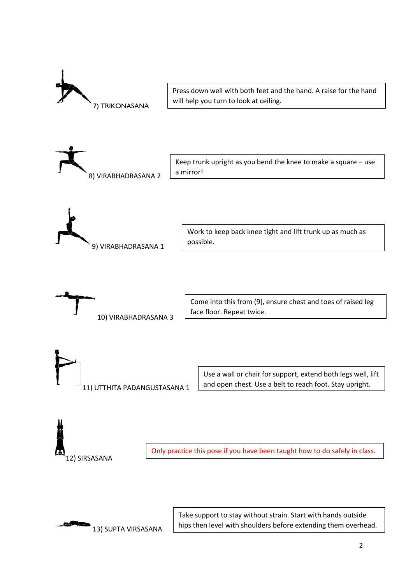

Press down well with both feet and the hand. A raise for the hand will help you turn to look at ceiling.



Keep trunk upright as you bend the knee to make a square – use a mirror!



Work to keep back knee tight and lift trunk up as much as possible.



Come into this from (9), ensure chest and toes of raised leg face floor. Repeat twice.



Use a wall or chair for support, extend both legs well, lift and open chest. Use a belt to reach foot. Stay upright.



Only practice this pose if you have been taught how to do safely in class.



Take support to stay without strain. Start with hands outside hips then level with shoulders before extending them overhead.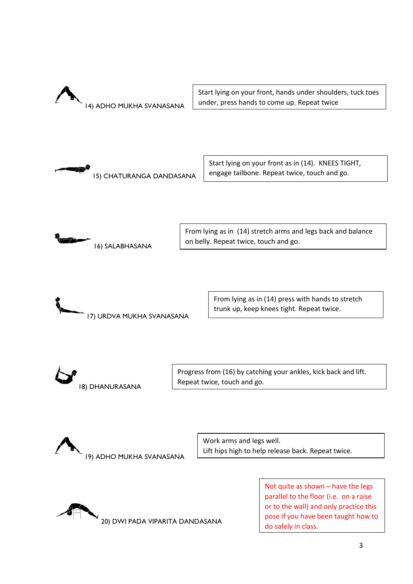

Start lying on your front, hands under shoulders, tuck toes under, press hands to come up. Repeat twice



Start lying on your front as in (14). KNEES TIGHT, engage tailbone. Repeat twice, touch and go.



From lying as in (14) stretch arms and legs back and balance on belly. Repeat twice, touch and go.



From lying as in (14) press with hands to stretch trunk up, keep knees tight. Repeat twice.



Progress from (16) by catching your ankles, kick back and lift. Repeat twice, touch and go.



Work arms and legs well. Lift hips high to help release back. Repeat twice.



Not quite as shown – have the legs parallel to the floor (i.e. on a raise or to the wall) and only practice this pose if you have been taught how to do safely in class.